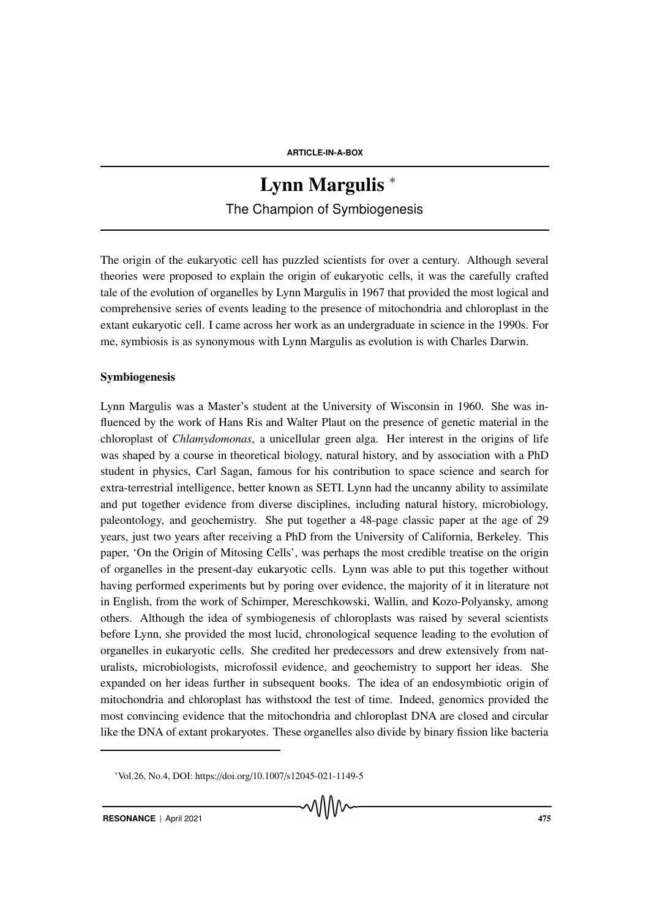# Lynn Margulis<sup>\*</sup> The Champion of Symbiogenesis

The origin of the eukaryotic cell has puzzled scientists for over a century. Although several theories were proposed to explain the origin of eukaryotic cells, it was the carefully crafted tale of the evolution of organelles by Lynn Margulis in 1967 that provided the most logical and comprehensive series of events leading to the presence of mitochondria and chloroplast in the extant eukaryotic cell. I came across her work as an undergraduate in science in the 1990s. For me, symbiosis is as synonymous with Lynn Margulis as evolution is with Charles Darwin.

### Symbiogenesis

Lynn Margulis was a Master's student at the University of Wisconsin in 1960. She was influenced by the work of Hans Ris and Walter Plaut on the presence of genetic material in the chloroplast of *Chlamydomonas*, a unicellular green alga. Her interest in the origins of life was shaped by a course in theoretical biology, natural history, and by association with a PhD student in physics, Carl Sagan, famous for his contribution to space science and search for extra-terrestrial intelligence, better known as SETI. Lynn had the uncanny ability to assimilate and put together evidence from diverse disciplines, including natural history, microbiology, paleontology, and geochemistry. She put together a 48-page classic paper at the age of 29 years, just two years after receiving a PhD from the University of California, Berkeley. This paper, 'On the Origin of Mitosing Cells', was perhaps the most credible treatise on the origin of organelles in the present-day eukaryotic cells. Lynn was able to put this together without having performed experiments but by poring over evidence, the majority of it in literature not in English, from the work of Schimper, Mereschkowski, Wallin, and Kozo-Polyansky, among others. Although the idea of symbiogenesis of chloroplasts was raised by several scientists before Lynn, she provided the most lucid, chronological sequence leading to the evolution of organelles in eukaryotic cells. She credited her predecessors and drew extensively from naturalists, microbiologists, microfossil evidence, and geochemistry to support her ideas. She expanded on her ideas further in subsequent books. The idea of an endosymbiotic origin of mitochondria and chloroplast has withstood the test of time. Indeed, genomics provided the most convincing evidence that the mitochondria and chloroplast DNA are closed and circular like the DNA of extant prokaryotes. These organelles also divide by binary fission like bacteria

<sup>∗</sup>Vol.26, No.4, DOI: https://doi.org/10.1007/s12045-021-1149-5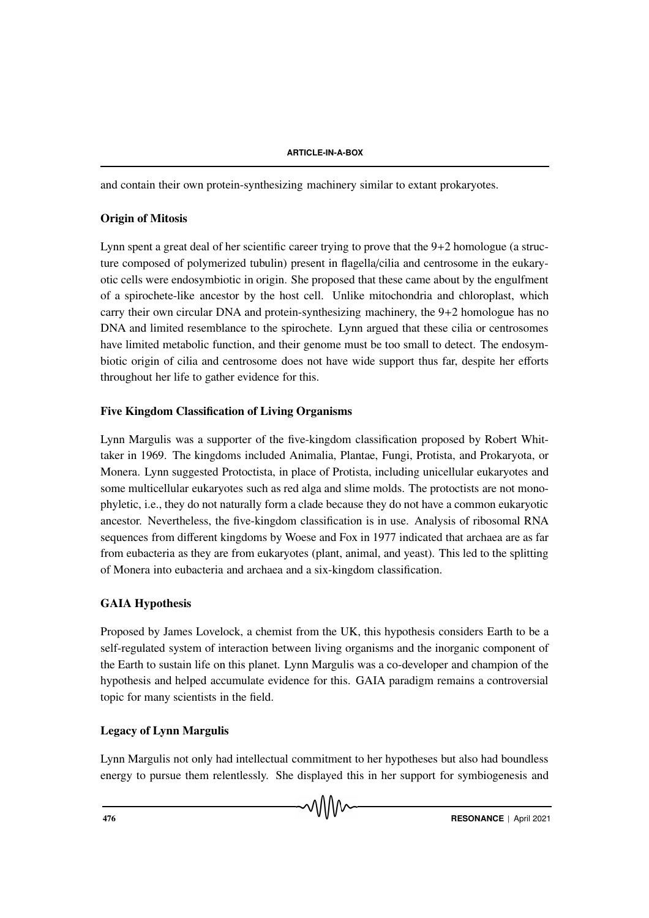and contain their own protein-synthesizing machinery similar to extant prokaryotes.

## Origin of Mitosis

Lynn spent a great deal of her scientific career trying to prove that the 9+2 homologue (a structure composed of polymerized tubulin) present in flagella/cilia and centrosome in the eukaryotic cells were endosymbiotic in origin. She proposed that these came about by the engulfment of a spirochete-like ancestor by the host cell. Unlike mitochondria and chloroplast, which carry their own circular DNA and protein-synthesizing machinery, the 9+2 homologue has no DNA and limited resemblance to the spirochete. Lynn argued that these cilia or centrosomes have limited metabolic function, and their genome must be too small to detect. The endosymbiotic origin of cilia and centrosome does not have wide support thus far, despite her efforts throughout her life to gather evidence for this.

## Five Kingdom Classification of Living Organisms

Lynn Margulis was a supporter of the five-kingdom classification proposed by Robert Whittaker in 1969. The kingdoms included Animalia, Plantae, Fungi, Protista, and Prokaryota, or Monera. Lynn suggested Protoctista, in place of Protista, including unicellular eukaryotes and some multicellular eukaryotes such as red alga and slime molds. The protoctists are not monophyletic, i.e., they do not naturally form a clade because they do not have a common eukaryotic ancestor. Nevertheless, the five-kingdom classification is in use. Analysis of ribosomal RNA sequences from different kingdoms by Woese and Fox in 1977 indicated that archaea are as far from eubacteria as they are from eukaryotes (plant, animal, and yeast). This led to the splitting of Monera into eubacteria and archaea and a six-kingdom classification.

# GAIA Hypothesis

Proposed by James Lovelock, a chemist from the UK, this hypothesis considers Earth to be a self-regulated system of interaction between living organisms and the inorganic component of the Earth to sustain life on this planet. Lynn Margulis was a co-developer and champion of the hypothesis and helped accumulate evidence for this. GAIA paradigm remains a controversial topic for many scientists in the field.

# Legacy of Lynn Margulis

Lynn Margulis not only had intellectual commitment to her hypotheses but also had boundless energy to pursue them relentlessly. She displayed this in her support for symbiogenesis and